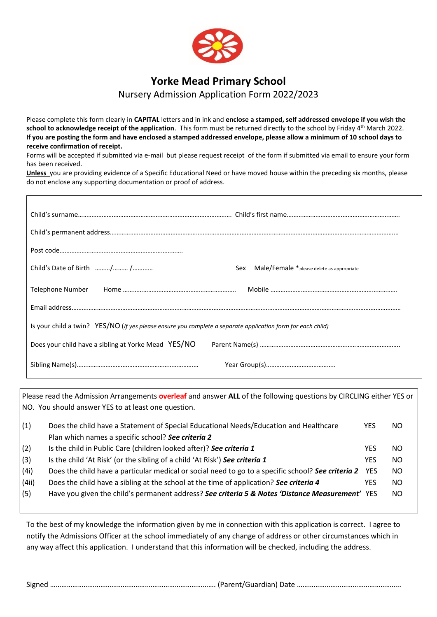

# **Yorke Mead Primary School**

# Nursery Admission Application Form 2022/2023

Please complete this form clearly in **CAPITAL** letters and in ink and **enclose a stamped, self addressed envelope if you wish the**  school to acknowledge receipt of the application. This form must be returned directly to the school by Friday 4<sup>th</sup> March 2022. **If you are posting the form and have enclosed a stamped addressed envelope, please allow a minimum of 10 school days to receive confirmation of receipt.**

Forms will be accepted if submitted via e-mail but please request receipt of the form if submitted via email to ensure your form has been received.

**Unless** you are providing evidence of a Specific Educational Need or have moved house within the preceding six months, please do not enclose any supporting documentation or proof of address.

 $\mathsf{r}$ 

| Child's Date of Birth / /<br>Sex Male/Female * please delete as appropriate                                 |
|-------------------------------------------------------------------------------------------------------------|
|                                                                                                             |
|                                                                                                             |
| Is your child a twin? YES/NO (If yes please ensure you complete a separate application form for each child) |
|                                                                                                             |
|                                                                                                             |

Please read the Admission Arrangements **overleaf** and answer **ALL** of the following questions by CIRCLING either YES or NO. You should answer YES to at least one question.

| (1)   | Does the child have a Statement of Special Educational Needs/Education and Healthcare                  | YES | NO. |
|-------|--------------------------------------------------------------------------------------------------------|-----|-----|
|       | Plan which names a specific school? See criteria 2                                                     |     |     |
| (2)   | Is the child in Public Care (children looked after)? See criteria 1                                    | YES | NO. |
| (3)   | Is the child 'At Risk' (or the sibling of a child 'At Risk') See criteria 1                            | YFS | NO. |
| (4i)  | Does the child have a particular medical or social need to go to a specific school? See criteria 2 YES |     | NO. |
| (4ii) | Does the child have a sibling at the school at the time of application? See criteria 4                 | YES | NO. |
| (5)   | Have you given the child's permanent address? See criteria 5 & Notes 'Distance Measurement' YES        |     | NO. |
|       |                                                                                                        |     |     |

To the best of my knowledge the information given by me in connection with this application is correct. I agree to notify the Admissions Officer at the school immediately of any change of address or other circumstances which in any way affect this application. I understand that this information will be checked, including the address.

Signed …………………………………………….………………………………. (Parent/Guardian) Date ………………………………………………..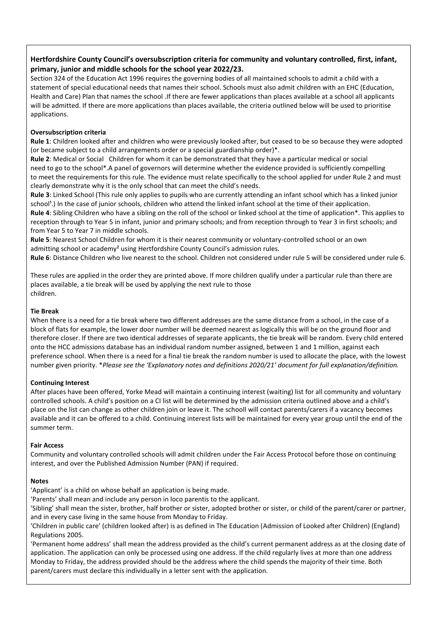## **Hertfordshire County Council's oversubscription criteria for community and voluntary controlled, first, infant, primary, junior and middle schools for the school year 2022/23.**

Section 324 of the Education Act 1996 requires the governing bodies of all maintained schools to admit a child with a statement of special educational needs that names their school. Schools must also admit children with an EHC (Education, Health and Care) Plan that names the school .If there are fewer applications than places available at a school all applicants will be admitted. If there are more applications than places available, the criteria outlined below will be used to prioritise applications.

### **Oversubscription criteria**

**Rule 1**: Children looked after and children who were previously looked after, but ceased to be so because they were adopted (or became subject to a child arrangements order or a special guardianship order)\*.

**Rule 2**: Medical or Social Children for whom it can be demonstrated that they have a particular medical or social need to go to the school\*.A panel of governors will determine whether the evidence provided is sufficiently compelling to meet the requirements for this rule. The evidence must relate specifically to the school applied for under Rule 2 and must clearly demonstrate why it is the only school that can meet the child's needs.

**Rule 3**: Linked School (This rule only applies to pupils who are currently attending an infant school which has a linked junior school<sup>1</sup>.) In the case of junior schools, children who attend the linked infant school at the time of their application. **Rule 4**: Sibling Children who have a sibling on the roll of the school or linked school at the time of application\*. This applies to reception through to Year 5 in infant, junior and primary schools; and from reception through to Year 3 in first schools; and

from Year 5 to Year 7 in middle schools. **Rule 5**: Nearest School Children for whom it is their nearest community or voluntary-controlled school or an own admitting school or academy<sup>2</sup> using Hertfordshire County Council's admission rules.

**Rule 6**: Distance Children who live nearest to the school. Children not considered under rule 5 will be considered under rule 6.

These rules are applied in the order they are printed above. If more children qualify under a particular rule than there are places available, a tie break will be used by applying the next rule to those children.

#### **Tie Break**

When there is a need for a tie break where two different addresses are the same distance from a school, in the case of a block of flats for example, the lower door number will be deemed nearest as logically this will be on the ground floor and therefore closer. If there are two identical addresses of separate applicants, the tie break will be random. Every child entered onto the HCC admissions database has an individual random number assigned, between 1 and 1 million, against each preference school. When there is a need for a final tie break the random number is used to allocate the place, with the lowest number given priority. \**Please see the 'Explanatory notes and definitions 2020/21' document for full explanation/definition.*

#### **Continuing Interest**

After places have been offered, Yorke Mead will maintain a continuing interest (waiting) list for all community and voluntary controlled schools. A child's position on a CI list will be determined by the admission criteria outlined above and a child's place on the list can change as other children join or leave it. The schooll will contact parents/carers if a vacancy becomes available and it can be offered to a child. Continuing interest lists will be maintained for every year group until the end of the summer term.

#### **Fair Access**

Community and voluntary controlled schools will admit children under the Fair Access Protocol before those on continuing interest, and over the Published Admission Number (PAN) if required.

#### **Notes**

'Applicant' is a child on whose behalf an application is being made.

'Parents' shall mean and include any person in loco parentis to the applicant.

'Sibling' shall mean the sister, brother, half brother or sister, adopted brother or sister, or child of the parent/carer or partner, and in every case living in the same house from Monday to Friday.

'Children in public care' (children looked after) is as defined in The Education (Admission of Looked after Children) (England) Regulations 2005.

'Permanent home address' shall mean the address provided as the child's current permanent address as at the closing date of application. The application can only be processed using one address. If the child regularly lives at more than one address Monday to Friday, the address provided should be the address where the child spends the majority of their time. Both parent/carers must declare this individually in a letter sent with the application.